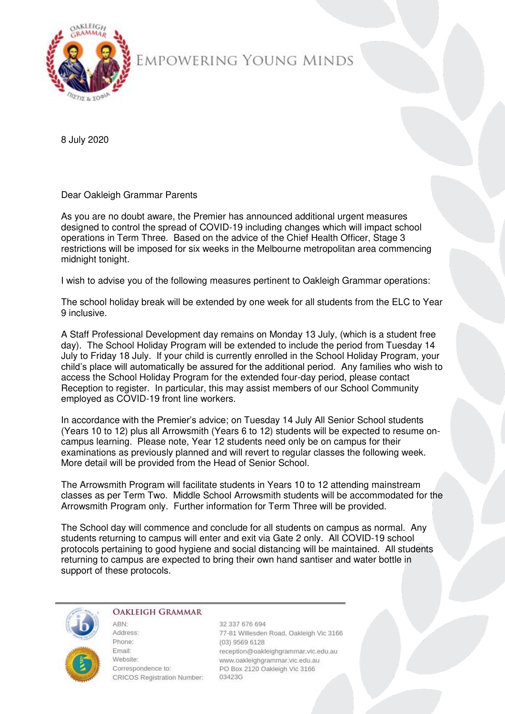

## EMPOWERING YOUNG MINDS

8 July 2020

Dear Oakleigh Grammar Parents

As you are no doubt aware, the Premier has announced additional urgent measures designed to control the spread of COVID-19 including changes which will impact school operations in Term Three. Based on the advice of the Chief Health Officer, Stage 3 restrictions will be imposed for six weeks in the Melbourne metropolitan area commencing midnight tonight.

I wish to advise you of the following measures pertinent to Oakleigh Grammar operations:

The school holiday break will be extended by one week for all students from the ELC to Year 9 inclusive.

A Staff Professional Development day remains on Monday 13 July, (which is a student free day). The School Holiday Program will be extended to include the period from Tuesday 14 July to Friday 18 July. If your child is currently enrolled in the School Holiday Program, your child's place will automatically be assured for the additional period. Any families who wish to access the School Holiday Program for the extended four-day period, please contact Reception to register. In particular, this may assist members of our School Community employed as COVID-19 front line workers.

In accordance with the Premier's advice; on Tuesday 14 July All Senior School students (Years 10 to 12) plus all Arrowsmith (Years 6 to 12) students will be expected to resume oncampus learning. Please note, Year 12 students need only be on campus for their examinations as previously planned and will revert to regular classes the following week. More detail will be provided from the Head of Senior School.

The Arrowsmith Program will facilitate students in Years 10 to 12 attending mainstream classes as per Term Two. Middle School Arrowsmith students will be accommodated for the Arrowsmith Program only. Further information for Term Three will be provided.

The School day will commence and conclude for all students on campus as normal. Any students returning to campus will enter and exit via Gate 2 only. All COVID-19 school protocols pertaining to good hygiene and social distancing will be maintained. All students returning to campus are expected to bring their own hand santiser and water bottle in support of these protocols.



## **OAKLEIGH GRAMMAR**

ARN<sup>-</sup>

Address: Phone: **Email:** Website: Correspondence to: CRICOS Registration Number:

32 337 676 694 77-81 Willesden Road, Oakleigh Vic 3166 (03) 9569 6128 reception@oakleighgrammar.vic.edu.au www.oakleighgrammar.vic.edu.au PO Box 2120 Oakleigh Vic 3166 03423G